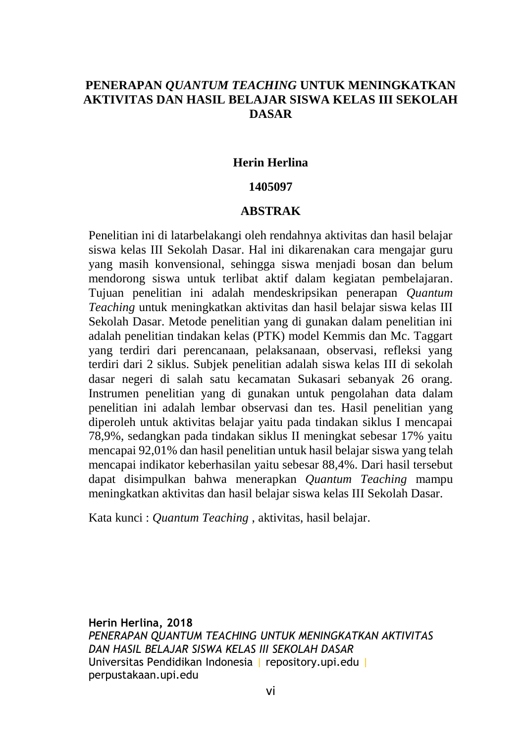# **PENERAPAN** *QUANTUM TEACHING* **UNTUK MENINGKATKAN AKTIVITAS DAN HASIL BELAJAR SISWA KELAS III SEKOLAH DASAR**

### **Herin Herlina**

### **1405097**

### **ABSTRAK**

Penelitian ini di latarbelakangi oleh rendahnya aktivitas dan hasil belajar siswa kelas III Sekolah Dasar. Hal ini dikarenakan cara mengajar guru yang masih konvensional, sehingga siswa menjadi bosan dan belum mendorong siswa untuk terlibat aktif dalam kegiatan pembelajaran. Tujuan penelitian ini adalah mendeskripsikan penerapan *Quantum Teaching* untuk meningkatkan aktivitas dan hasil belajar siswa kelas III Sekolah Dasar. Metode penelitian yang di gunakan dalam penelitian ini adalah penelitian tindakan kelas (PTK) model Kemmis dan Mc. Taggart yang terdiri dari perencanaan, pelaksanaan, observasi, refleksi yang terdiri dari 2 siklus. Subjek penelitian adalah siswa kelas III di sekolah dasar negeri di salah satu kecamatan Sukasari sebanyak 26 orang. Instrumen penelitian yang di gunakan untuk pengolahan data dalam penelitian ini adalah lembar observasi dan tes. Hasil penelitian yang diperoleh untuk aktivitas belajar yaitu pada tindakan siklus I mencapai 78,9%, sedangkan pada tindakan siklus II meningkat sebesar 17% yaitu mencapai 92,01% dan hasil penelitian untuk hasil belajar siswa yang telah mencapai indikator keberhasilan yaitu sebesar 88,4%. Dari hasil tersebut dapat disimpulkan bahwa menerapkan *Quantum Teaching* mampu meningkatkan aktivitas dan hasil belajar siswa kelas III Sekolah Dasar.

Kata kunci : *Quantum Teaching* , aktivitas, hasil belajar.

**Herin Herlina, 2018** *PENERAPAN QUANTUM TEACHING UNTUK MENINGKATKAN AKTIVITAS DAN HASIL BELAJAR SISWA KELAS III SEKOLAH DASAR* Universitas Pendidikan Indonesia | repository.upi.edu | perpustakaan.upi.edu